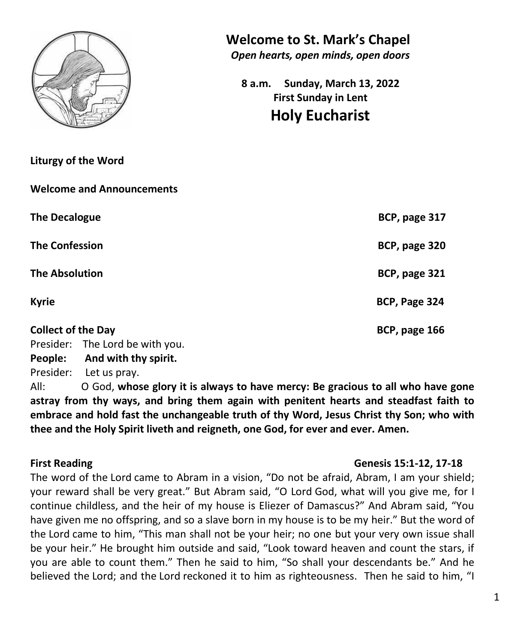

**Liturgy of the Word**

**Welcome and Announcements**

**The Decalogue BCP, page 317** 

**The Confession BCP, page 320**

**The Absolution BCP, page 321**

**Kyrie BCP, Page 324** 

**Collect of the Day BCP, page 166** 

Presider: The Lord be with you.

**People: And with thy spirit.**

Presider: Let us pray.

All: O God, **whose glory it is always to have mercy: Be gracious to all who have gone astray from thy ways, and bring them again with penitent hearts and steadfast faith to embrace and hold fast the unchangeable truth of thy Word, Jesus Christ thy Son; who with thee and the Holy Spirit liveth and reigneth, one God, for ever and ever. Amen.**

**First Reading Genesis 15:1-12, 17-18**

The word of the Lord came to Abram in a vision, "Do not be afraid, Abram, I am your shield; your reward shall be very great." But Abram said, "O Lord God, what will you give me, for I continue childless, and the heir of my house is Eliezer of Damascus?" And Abram said, "You have given me no offspring, and so a slave born in my house is to be my heir." But the word of the Lord came to him, "This man shall not be your heir; no one but your very own issue shall be your heir." He brought him outside and said, "Look toward heaven and count the stars, if you are able to count them." Then he said to him, "So shall your descendants be." And he believed the Lord; and the Lord reckoned it to him as righteousness. Then he said to him, "I

## **Welcome to St. Mark's Chapel**

*Open hearts, open minds, open doors*

**8 a.m. Sunday, March 13, 2022 First Sunday in Lent Holy Eucharist**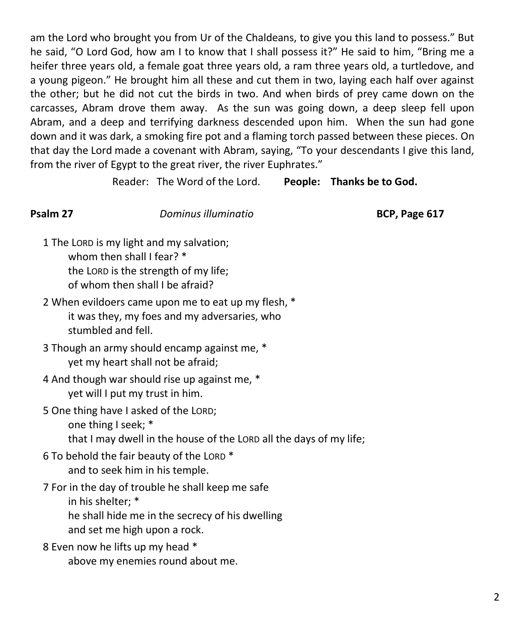am the Lord who brought you from Ur of the Chaldeans, to give you this land to possess." But he said, "O Lord God, how am I to know that I shall possess it?" He said to him, "Bring me a heifer three years old, a female goat three years old, a ram three years old, a turtledove, and a young pigeon." He brought him all these and cut them in two, laying each half over against the other; but he did not cut the birds in two. And when birds of prey came down on the carcasses, Abram drove them away. As the sun was going down, a deep sleep fell upon Abram, and a deep and terrifying darkness descended upon him. When the sun had gone down and it was dark, a smoking fire pot and a flaming torch passed between these pieces. On that day the Lord made a covenant with Abram, saying, "To your descendants I give this land, from the river of Egypt to the great river, the river Euphrates."

Reader: The Word of the Lord. **People: Thanks be to God.**

### **Psalm 27** *Dominus illuminatio* **BCP, Page 617**

- 1 The LORD is my light and my salvation; whom then shall I fear? \* the LORD is the strength of my life; of whom then shall I be afraid?
- 2 When evildoers came upon me to eat up my flesh, \* it was they, my foes and my adversaries, who stumbled and fell.
- 3 Though an army should encamp against me, \* yet my heart shall not be afraid;
- 4 And though war should rise up against me, \* yet will I put my trust in him.
- 5 One thing have I asked of the LORD; one thing I seek; \* that I may dwell in the house of the LORD all the days of my life;
- 6 To behold the fair beauty of the LORD \* and to seek him in his temple.
- 7 For in the day of trouble he shall keep me safe in his shelter; \* he shall hide me in the secrecy of his dwelling and set me high upon a rock.
- 8 Even now he lifts up my head \*
	- above my enemies round about me.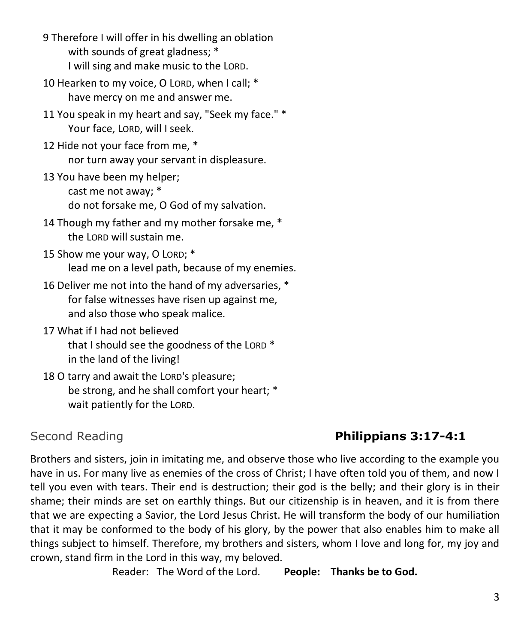- 9 Therefore I will offer in his dwelling an oblation with sounds of great gladness; \* I will sing and make music to the LORD.
- 10 Hearken to my voice, O LORD, when I call; \* have mercy on me and answer me.
- 11 You speak in my heart and say, "Seek my face." \* Your face, LORD, will I seek.
- 12 Hide not your face from me, \* nor turn away your servant in displeasure.
- 13 You have been my helper; cast me not away; \* do not forsake me, O God of my salvation.
- 14 Though my father and my mother forsake me, \* the LORD will sustain me.
- 15 Show me your way, O LORD; \* lead me on a level path, because of my enemies.
- 16 Deliver me not into the hand of my adversaries, \* for false witnesses have risen up against me, and also those who speak malice.
- 17 What if I had not believed that I should see the goodness of the LORD \* in the land of the living!
- 18 O tarry and await the LORD's pleasure; be strong, and he shall comfort your heart; \* wait patiently for the LORD.

# Second Reading **Philippians 3:17-4:1**

Brothers and sisters, join in imitating me, and observe those who live according to the example you have in us. For many live as enemies of the cross of Christ; I have often told you of them, and now I tell you even with tears. Their end is destruction; their god is the belly; and their glory is in their shame; their minds are set on earthly things. But our citizenship is in heaven, and it is from there that we are expecting a Savior, the Lord Jesus Christ. He will transform the body of our humiliation that it may be conformed to the body of his glory, by the power that also enables him to make all things subject to himself. Therefore, my brothers and sisters, whom I love and long for, my joy and crown, stand firm in the Lord in this way, my beloved.

Reader: The Word of the Lord. **People: Thanks be to God.**